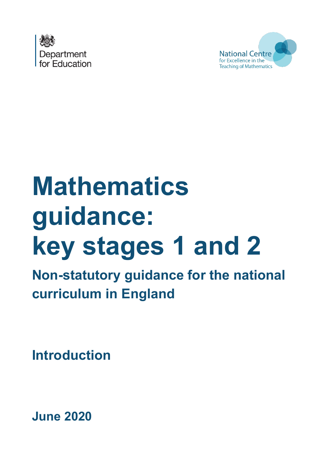



# **Mathematics guidance: key stages 1 and 2**

**Non-statutory guidance for the national curriculum in England**

**Introduction**

**June 2020**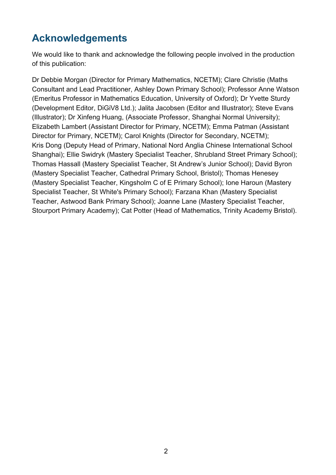# **Acknowledgements**

We would like to thank and acknowledge the following people involved in the production of this publication:

Dr Debbie Morgan (Director for Primary Mathematics, NCETM); Clare Christie (Maths Consultant and Lead Practitioner, Ashley Down Primary School); Professor Anne Watson (Emeritus Professor in Mathematics Education, University of Oxford); Dr Yvette Sturdy (Development Editor, DiGiV8 Ltd.); Jalita Jacobsen (Editor and Illustrator); Steve Evans (Illustrator); Dr Xinfeng Huang, (Associate Professor, Shanghai Normal University); Elizabeth Lambert (Assistant Director for Primary, NCETM); Emma Patman (Assistant Director for Primary, NCETM); Carol Knights (Director for Secondary, NCETM); Kris Dong (Deputy Head of Primary, National Nord Anglia Chinese International School Shanghai); Ellie Swidryk (Mastery Specialist Teacher, Shrubland Street Primary School); Thomas Hassall (Mastery Specialist Teacher, St Andrew's Junior School); David Byron (Mastery Specialist Teacher, Cathedral Primary School, Bristol); Thomas Henesey (Mastery Specialist Teacher, Kingsholm C of E Primary School); Ione Haroun (Mastery Specialist Teacher, St White's Primary School); Farzana Khan (Mastery Specialist Teacher, Astwood Bank Primary School); Joanne Lane (Mastery Specialist Teacher, Stourport Primary Academy); Cat Potter (Head of Mathematics, Trinity Academy Bristol).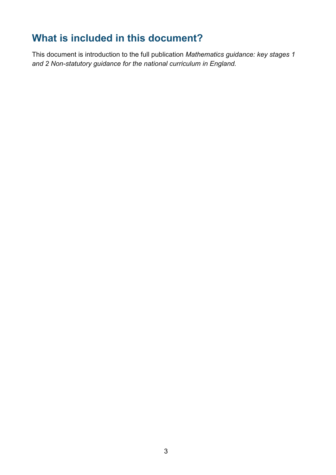# **What is included in this document?**

This document is introduction to the full publication *Mathematics guidance: key stages 1 and 2 Non-statutory guidance for the national curriculum in England.*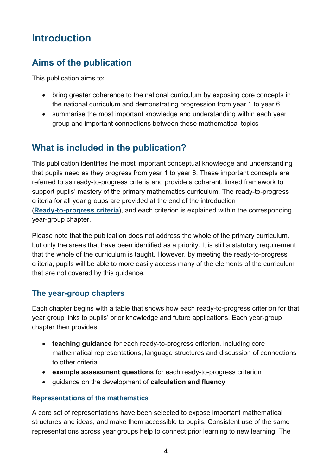# **Introduction**

## **Aims of the publication**

This publication aims to:

- bring greater coherence to the national curriculum by exposing core concepts in the national curriculum and demonstrating progression from year 1 to year 6
- summarise the most important knowledge and understanding within each year group and important connections between these mathematical topics

## **What is included in the publication?**

This publication identifies the most important conceptual knowledge and understanding that pupils need as they progress from year 1 to year 6. These important concepts are referred to as ready-to-progress criteria and provide a coherent, linked framework to support pupils' mastery of the primary mathematics curriculum. The ready-to-progress criteria for all year groups are provided at the end of the introduction (**[Ready-to-progress criteria](#page-7-0)**), and each criterion is explained within the corresponding year-group chapter.

Please note that the publication does not address the whole of the primary curriculum, but only the areas that have been identified as a priority. It is still a statutory requirement that the whole of the curriculum is taught. However, by meeting the ready-to-progress criteria, pupils will be able to more easily access many of the elements of the curriculum that are not covered by this guidance.

#### **The year-group chapters**

Each chapter begins with a table that shows how each ready-to-progress criterion for that year group links to pupils' prior knowledge and future applications. Each year-group chapter then provides:

- **teaching guidance** for each ready-to-progress criterion, including core mathematical representations, language structures and discussion of connections to other criteria
- **example assessment questions** for each ready-to-progress criterion
- guidance on the development of **calculation and fluency**

#### **Representations of the mathematics**

A core set of representations have been selected to expose important mathematical structures and ideas, and make them accessible to pupils. Consistent use of the same representations across year groups help to connect prior learning to new learning. The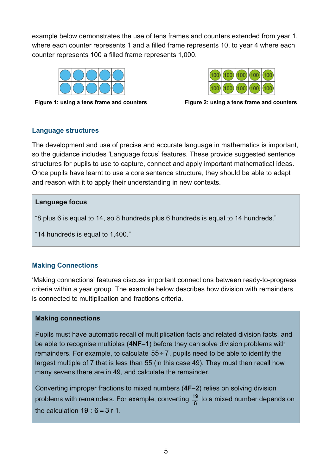example below demonstrates the use of tens frames and counters extended from year 1, where each counter represents 1 and a filled frame represents 10, to year 4 where each counter represents 100 a filled frame represents 1,000.



 $(100)$ (100 100)  $100$ (100  $(100$ 



#### **Language structures**

The development and use of precise and accurate language in mathematics is important, so the guidance includes 'Language focus' features. These provide suggested sentence structures for pupils to use to capture, connect and apply important mathematical ideas. Once pupils have learnt to use a core sentence structure, they should be able to adapt and reason with it to apply their understanding in new contexts.

#### **Language focus**

"8 plus 6 is equal to 14, so 8 hundreds plus 6 hundreds is equal to 14 hundreds."

"14 hundreds is equal to 1,400."

#### **Making Connections**

'Making connections' features discuss important connections between ready-to-progress criteria within a year group. The example below describes how division with remainders is connected to multiplication and fractions criteria.

#### **Making connections**

Pupils must have automatic recall of multiplication facts and related division facts, and be able to recognise multiples (**4NF–1**) before they can solve division problems with remainders. For example, to calculate  $55 \div 7$ , pupils need to be able to identify the largest multiple of 7 that is less than 55 (in this case 49). They must then recall how many sevens there are in 49, and calculate the remainder.

Converting improper fractions to mixed numbers (**4F–2**) relies on solving division problems with remainders. For example, converting  $\frac{19}{6}$  to a mixed number depends on the calculation  $19 \div 6 = 3$  r 1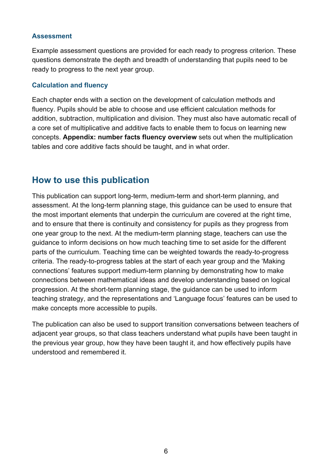#### **Assessment**

Example assessment questions are provided for each ready to progress criterion. These questions demonstrate the depth and breadth of understanding that pupils need to be ready to progress to the next year group.

#### **Calculation and fluency**

Each chapter ends with a section on the development of calculation methods and fluency. Pupils should be able to choose and use efficient calculation methods for addition, subtraction, multiplication and division. They must also have automatic recall of a core set of multiplicative and additive facts to enable them to focus on learning new concepts. **Appendix: number facts fluency overview** sets out when the multiplication tables and core additive facts should be taught, and in what order.

### **How to use this publication**

This publication can support long-term, medium-term and short-term planning, and assessment. At the long-term planning stage, this guidance can be used to ensure that the most important elements that underpin the curriculum are covered at the right time, and to ensure that there is continuity and consistency for pupils as they progress from one year group to the next. At the medium-term planning stage, teachers can use the guidance to inform decisions on how much teaching time to set aside for the different parts of the curriculum. Teaching time can be weighted towards the ready-to-progress criteria. The ready-to-progress tables at the start of each year group and the 'Making connections' features support medium-term planning by demonstrating how to make connections between mathematical ideas and develop understanding based on logical progression. At the short-term planning stage, the guidance can be used to inform teaching strategy, and the representations and 'Language focus' features can be used to make concepts more accessible to pupils.

The publication can also be used to support transition conversations between teachers of adjacent year groups, so that class teachers understand what pupils have been taught in the previous year group, how they have been taught it, and how effectively pupils have understood and remembered it.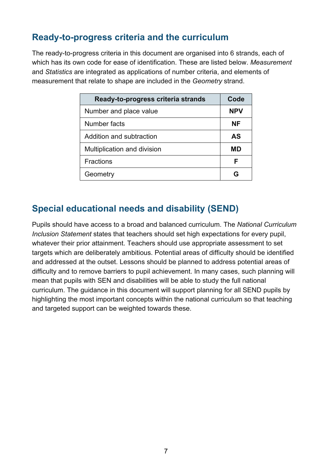## **Ready-to-progress criteria and the curriculum**

The ready-to-progress criteria in this document are organised into 6 strands, each of which has its own code for ease of identification. These are listed below. *Measurement* and *Statistics* are integrated as applications of number criteria, and elements of measurement that relate to shape are included in the *Geometry* strand.

| Ready-to-progress criteria strands | Code       |
|------------------------------------|------------|
| Number and place value             | <b>NPV</b> |
| Number facts                       | NF         |
| Addition and subtraction           | <b>AS</b>  |
| Multiplication and division        | MD         |
| <b>Fractions</b>                   | F          |
| Geometry                           |            |

## **Special educational needs and disability (SEND)**

Pupils should have access to a broad and balanced curriculum. The *National Curriculum Inclusion Statement* states that teachers should set high expectations for every pupil, whatever their prior attainment. Teachers should use appropriate assessment to set targets which are deliberately ambitious. Potential areas of difficulty should be identified and addressed at the outset. Lessons should be planned to address potential areas of difficulty and to remove barriers to pupil achievement. In many cases, such planning will mean that pupils with SEN and disabilities will be able to study the full national curriculum. The guidance in this document will support planning for all SEND pupils by highlighting the most important concepts within the national curriculum so that teaching and targeted support can be weighted towards these.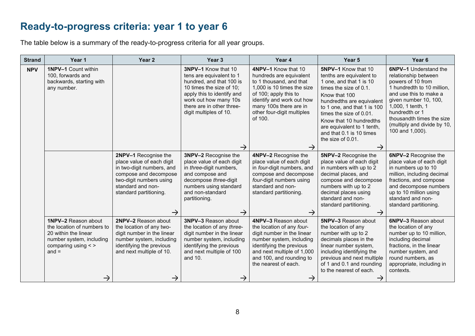# **Ready-to-progress criteria: year 1 to year 6**

The table below is a summary of the ready-to-progress criteria for all year groups.

<span id="page-7-0"></span>

| <b>Strand</b> | Year 1                                                                                                                                                              | Year <sub>2</sub>                                                                                                                                                                      | Year <sub>3</sub>                                                                                                                                                                                                                      | Year 4                                                                                                                                                                                                                                            | Year 5                                                                                                                                                                                                                                                                                                                      | Year <sub>6</sub>                                                                                                                                                                                                                                                                |
|---------------|---------------------------------------------------------------------------------------------------------------------------------------------------------------------|----------------------------------------------------------------------------------------------------------------------------------------------------------------------------------------|----------------------------------------------------------------------------------------------------------------------------------------------------------------------------------------------------------------------------------------|---------------------------------------------------------------------------------------------------------------------------------------------------------------------------------------------------------------------------------------------------|-----------------------------------------------------------------------------------------------------------------------------------------------------------------------------------------------------------------------------------------------------------------------------------------------------------------------------|----------------------------------------------------------------------------------------------------------------------------------------------------------------------------------------------------------------------------------------------------------------------------------|
| <b>NPV</b>    | 1NPV-1 Count within<br>100, forwards and<br>backwards, starting with<br>any number.                                                                                 |                                                                                                                                                                                        | 3NPV-1 Know that 10<br>tens are equivalent to 1<br>hundred, and that 100 is<br>10 times the size of 10;<br>apply this to identify and<br>work out how many 10s<br>there are in other three-<br>digit multiples of 10.<br>$\rightarrow$ | 4NPV-1 Know that 10<br>hundreds are equivalent<br>to 1 thousand, and that<br>1,000 is 10 times the size<br>of 100; apply this to<br>identify and work out how<br>many 100s there are in<br>other four-digit multiples<br>of 100.<br>$\rightarrow$ | 5NPV-1 Know that 10<br>tenths are equivalent to<br>1 one, and that 1 is 10<br>times the size of 0.1.<br>Know that 100<br>hundredths are equivalent<br>to 1 one, and that 1 is 100<br>times the size of 0.01.<br>Know that 10 hundredths<br>are equivalent to 1 tenth,<br>and that 0.1 is 10 times<br>the size of 0.01.<br>→ | <b>6NPV-1</b> Understand the<br>relationship between<br>powers of 10 from<br>1 hundredth to 10 million,<br>and use this to make a<br>given number 10, 100,<br>1,000, 1 tenth, 1<br>hundredth or 1<br>thousandth times the size<br>(multiply and divide by 10,<br>100 and 1,000). |
|               |                                                                                                                                                                     | 2NPV-1 Recognise the<br>place value of each digit<br>in two-digit numbers, and<br>compose and decompose<br>two-digit numbers using<br>standard and non-<br>standard partitioning.<br>→ | 3NPV-2 Recognise the<br>place value of each digit<br>in three-digit numbers,<br>and compose and<br>decompose three-digit<br>numbers using standard<br>and non-standard<br>partitioning.<br>$\rightarrow$                               | 4NPV-2 Recognise the<br>place value of each digit<br>in four-digit numbers, and<br>compose and decompose<br>four-digit numbers using<br>standard and non-<br>standard partitioning.<br>$\rightarrow$                                              | 5NPV-2 Recognise the<br>place value of each digit<br>in numbers with up to 2<br>decimal places, and<br>compose and decompose<br>numbers with up to 2<br>decimal places using<br>standard and non-<br>standard partitioning.<br>$\rightarrow$                                                                                | 6NPV-2 Recognise the<br>place value of each digit<br>in numbers up to 10<br>million, including decimal<br>fractions, and compose<br>and decompose numbers<br>up to 10 million using<br>standard and non-<br>standard partitioning.                                               |
|               | <b>1NPV-2 Reason about</b><br>the location of numbers to<br>20 within the linear<br>number system, including<br>comparing using $\lt$ ><br>$and =$<br>$\rightarrow$ | 2NPV-2 Reason about<br>the location of any two-<br>digit number in the linear<br>number system, including<br>identifying the previous<br>and next multiple of 10.<br>→                 | <b>3NPV-3 Reason about</b><br>the location of any three-<br>digit number in the linear<br>number system, including<br>identifying the previous<br>and next multiple of 100<br>and 10.<br>$\rightarrow$                                 | 4NPV-3 Reason about<br>the location of any four-<br>digit number in the linear<br>number system, including<br>identifying the previous<br>and next multiple of 1,000<br>and 100, and rounding to<br>the nearest of each.<br>$\rightarrow$         | 5NPV-3 Reason about<br>the location of any<br>number with up to 2<br>decimals places in the<br>linear number system,<br>including identifying the<br>previous and next multiple<br>of 1 and 0.1 and rounding<br>to the nearest of each.                                                                                     | 6NPV-3 Reason about<br>the location of any<br>number up to 10 million,<br>including decimal<br>fractions, in the linear<br>number system, and<br>round numbers, as<br>appropriate, including in<br>contexts.                                                                     |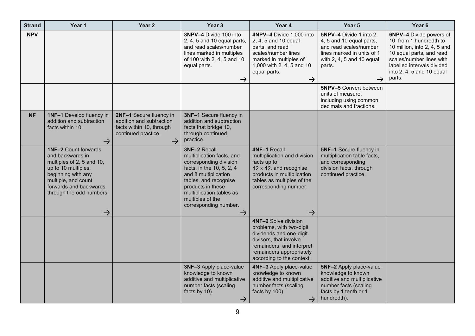| <b>Strand</b> | Year 1                                                                                                                                                                                                                  | Year <sub>2</sub>                                                                                                       | Year <sub>3</sub>                                                                                                                                                                                                                                                | Year 4                                                                                                                                                                                             | Year 5                                                                                                                                                              | Year <sub>6</sub>                                                                                                                                                                                               |
|---------------|-------------------------------------------------------------------------------------------------------------------------------------------------------------------------------------------------------------------------|-------------------------------------------------------------------------------------------------------------------------|------------------------------------------------------------------------------------------------------------------------------------------------------------------------------------------------------------------------------------------------------------------|----------------------------------------------------------------------------------------------------------------------------------------------------------------------------------------------------|---------------------------------------------------------------------------------------------------------------------------------------------------------------------|-----------------------------------------------------------------------------------------------------------------------------------------------------------------------------------------------------------------|
| <b>NPV</b>    |                                                                                                                                                                                                                         |                                                                                                                         | 3NPV-4 Divide 100 into<br>2, 4, 5 and 10 equal parts,<br>and read scales/number<br>lines marked in multiples<br>of 100 with 2, 4, 5 and 10<br>equal parts.<br>$\rightarrow$                                                                                      | 4NPV-4 Divide 1,000 into<br>2, 4, 5 and 10 equal<br>parts, and read<br>scales/number lines<br>marked in multiples of<br>1,000 with 2, 4, 5 and 10<br>equal parts.<br>$\rightarrow$                 | 5NPV-4 Divide 1 into 2,<br>4, 5 and 10 equal parts,<br>and read scales/number<br>lines marked in units of 1<br>with 2, 4, 5 and 10 equal<br>parts.<br>$\rightarrow$ | 6NPV-4 Divide powers of<br>10, from 1 hundredth to<br>10 million, into 2, 4, 5 and<br>10 equal parts, and read<br>scales/number lines with<br>labelled intervals divided<br>into 2, 4, 5 and 10 equal<br>parts. |
|               |                                                                                                                                                                                                                         |                                                                                                                         |                                                                                                                                                                                                                                                                  |                                                                                                                                                                                                    | <b>5NPV-5</b> Convert between<br>units of measure,<br>including using common<br>decimals and fractions.                                                             |                                                                                                                                                                                                                 |
| <b>NF</b>     | <b>1NF-1</b> Develop fluency in<br>addition and subtraction<br>facts within 10.<br>$\rightarrow$                                                                                                                        | 2NF-1 Secure fluency in<br>addition and subtraction<br>facts within 10, through<br>continued practice.<br>$\rightarrow$ | 3NF-1 Secure fluency in<br>addition and subtraction<br>facts that bridge 10,<br>through continued<br>practice.                                                                                                                                                   |                                                                                                                                                                                                    |                                                                                                                                                                     |                                                                                                                                                                                                                 |
|               | <b>1NF-2 Count forwards</b><br>and backwards in<br>multiples of 2, 5 and 10,<br>up to 10 multiples,<br>beginning with any<br>multiple, and count<br>forwards and backwards<br>through the odd numbers.<br>$\rightarrow$ |                                                                                                                         | 3NF-2 Recall<br>multiplication facts, and<br>corresponding division<br>facts, in the 10, 5, 2, 4<br>and 8 multiplication<br>tables, and recognise<br>products in these<br>multiplication tables as<br>multiples of the<br>corresponding number.<br>$\rightarrow$ | 4NF-1 Recall<br>multiplication and division<br>facts up to<br>$12 \times 12$ , and recognise<br>products in multiplication<br>tables as multiples of the<br>corresponding number.<br>$\rightarrow$ | 5NF-1 Secure fluency in<br>multiplication table facts,<br>and corresponding<br>division facts, through<br>continued practice.                                       |                                                                                                                                                                                                                 |
|               |                                                                                                                                                                                                                         |                                                                                                                         |                                                                                                                                                                                                                                                                  | 4NF-2 Solve division<br>problems, with two-digit<br>dividends and one-digit<br>divisors, that involve<br>remainders, and interpret<br>remainders appropriately<br>according to the context.        |                                                                                                                                                                     |                                                                                                                                                                                                                 |
|               |                                                                                                                                                                                                                         |                                                                                                                         | 3NF-3 Apply place-value<br>knowledge to known<br>additive and multiplicative<br>number facts (scaling<br>facts by 10).<br>$\rightarrow$                                                                                                                          | 4NF-3 Apply place-value<br>knowledge to known<br>additive and multiplicative<br>number facts (scaling<br>facts by 100)<br>$\rightarrow$                                                            | 5NF-2 Apply place-value<br>knowledge to known<br>additive and multiplicative<br>number facts (scaling<br>facts by 1 tenth or 1<br>hundredth).                       |                                                                                                                                                                                                                 |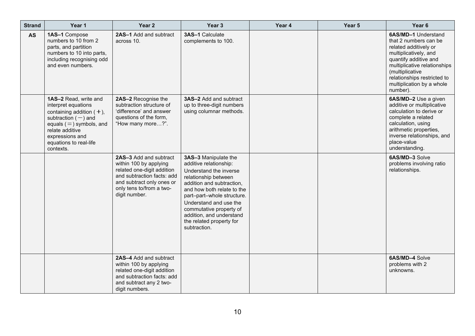| <b>Strand</b> | Year 1                                                                                                                                                                                                         | Year <sub>2</sub>                                                                                                                                                                      | Year <sub>3</sub>                                                                                                                                                                                                                                                                                                      | Year 4 | Year 5 | Year <sub>6</sub>                                                                                                                                                                                                                                  |
|---------------|----------------------------------------------------------------------------------------------------------------------------------------------------------------------------------------------------------------|----------------------------------------------------------------------------------------------------------------------------------------------------------------------------------------|------------------------------------------------------------------------------------------------------------------------------------------------------------------------------------------------------------------------------------------------------------------------------------------------------------------------|--------|--------|----------------------------------------------------------------------------------------------------------------------------------------------------------------------------------------------------------------------------------------------------|
| <b>AS</b>     | 1AS-1 Compose<br>numbers to 10 from 2<br>parts, and partition<br>numbers to 10 into parts,<br>including recognising odd<br>and even numbers.                                                                   | 2AS-1 Add and subtract<br>across 10.                                                                                                                                                   | 3AS-1 Calculate<br>complements to 100.                                                                                                                                                                                                                                                                                 |        |        | 6AS/MD-1 Understand<br>that 2 numbers can be<br>related additively or<br>multiplicatively, and<br>quantify additive and<br>multiplicative relationships<br>(multiplicative<br>relationships restricted to<br>multiplication by a whole<br>number). |
|               | 1AS-2 Read, write and<br>interpret equations<br>containing addition $(+)$ ,<br>subtraction $(-)$ and<br>equals $(=)$ symbols, and<br>relate additive<br>expressions and<br>equations to real-life<br>contexts. | 2AS-2 Recognise the<br>subtraction structure of<br>'difference' and answer<br>questions of the form,<br>"How many more?".                                                              | <b>3AS-2 Add and subtract</b><br>up to three-digit numbers<br>using columnar methods.                                                                                                                                                                                                                                  |        |        | 6AS/MD-2 Use a given<br>additive or multiplicative<br>calculation to derive or<br>complete a related<br>calculation, using<br>arithmetic properties,<br>inverse relationships, and<br>place-value<br>understanding.                                |
|               |                                                                                                                                                                                                                | 2AS-3 Add and subtract<br>within 100 by applying<br>related one-digit addition<br>and subtraction facts: add<br>and subtract only ones or<br>only tens to/from a two-<br>digit number. | 3AS-3 Manipulate the<br>additive relationship:<br>Understand the inverse<br>relationship between<br>addition and subtraction,<br>and how both relate to the<br>part-part-whole structure.<br>Understand and use the<br>commutative property of<br>addition, and understand<br>the related property for<br>subtraction. |        |        | 6AS/MD-3 Solve<br>problems involving ratio<br>relationships.                                                                                                                                                                                       |
|               |                                                                                                                                                                                                                | 2AS-4 Add and subtract<br>within 100 by applying<br>related one-digit addition<br>and subtraction facts: add<br>and subtract any 2 two-<br>digit numbers.                              |                                                                                                                                                                                                                                                                                                                        |        |        | 6AS/MD-4 Solve<br>problems with 2<br>unknowns.                                                                                                                                                                                                     |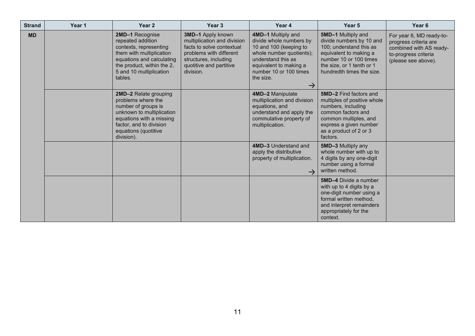| <b>Strand</b> | Year 1 | Year <sub>2</sub>                                                                                                                                                                            | Year <sub>3</sub>                                                                                                                                                         | Year 4                                                                                                                                                                                                      | Year <sub>5</sub>                                                                                                                                                                                 | Year <sub>6</sub>                                                                                                           |
|---------------|--------|----------------------------------------------------------------------------------------------------------------------------------------------------------------------------------------------|---------------------------------------------------------------------------------------------------------------------------------------------------------------------------|-------------------------------------------------------------------------------------------------------------------------------------------------------------------------------------------------------------|---------------------------------------------------------------------------------------------------------------------------------------------------------------------------------------------------|-----------------------------------------------------------------------------------------------------------------------------|
| <b>MD</b>     |        | 2MD-1 Recognise<br>repeated addition<br>contexts, representing<br>them with multiplication<br>equations and calculating<br>the product, within the 2,<br>5 and 10 multiplication<br>tables.  | 3MD-1 Apply known<br>multiplication and division<br>facts to solve contextual<br>problems with different<br>structures, including<br>quotitive and partitive<br>division. | 4MD-1 Multiply and<br>divide whole numbers by<br>10 and 100 (keeping to<br>whole number quotients);<br>understand this as<br>equivalent to making a<br>number 10 or 100 times<br>the size.<br>$\rightarrow$ | 5MD-1 Multiply and<br>divide numbers by 10 and<br>100; understand this as<br>equivalent to making a<br>number 10 or 100 times<br>the size, or 1 tenth or 1<br>hundredth times the size.           | For year 6, MD ready-to-<br>progress criteria are<br>combined with AS ready-<br>to-progress criteria<br>(please see above). |
|               |        | 2MD-2 Relate grouping<br>problems where the<br>number of groups is<br>unknown to multiplication<br>equations with a missing<br>factor, and to division<br>equations (quotitive<br>division). |                                                                                                                                                                           | 4MD-2 Manipulate<br>multiplication and division<br>equations, and<br>understand and apply the<br>commutative property of<br>multiplication.                                                                 | <b>5MD-2 Find factors and</b><br>multiples of positive whole<br>numbers, including<br>common factors and<br>common multiples, and<br>express a given number<br>as a product of 2 or 3<br>factors. |                                                                                                                             |
|               |        |                                                                                                                                                                                              |                                                                                                                                                                           | 4MD-3 Understand and<br>apply the distributive<br>property of multiplication.                                                                                                                               | 5MD-3 Multiply any<br>whole number with up to<br>4 digits by any one-digit<br>number using a formal<br>written method.                                                                            |                                                                                                                             |
|               |        |                                                                                                                                                                                              |                                                                                                                                                                           |                                                                                                                                                                                                             | <b>5MD-4</b> Divide a number<br>with up to 4 digits by a<br>one-digit number using a<br>formal written method.<br>and interpret remainders<br>appropriately for the<br>context.                   |                                                                                                                             |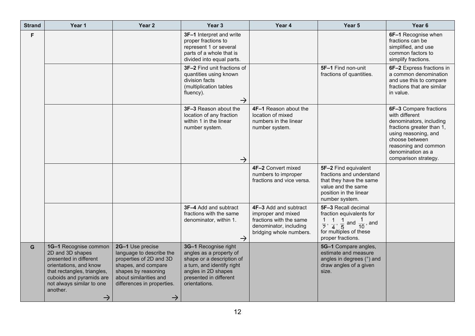| <b>Strand</b> | Year 1                                                                                                                                                                                                             | Year 2                                                                                                                                                                                         | Year <sub>3</sub>                                                                                                                                                            | Year 4                                                                                                                      | Year 5                                                                                                                                                                   | Year 6                                                                                                                                                                                                          |
|---------------|--------------------------------------------------------------------------------------------------------------------------------------------------------------------------------------------------------------------|------------------------------------------------------------------------------------------------------------------------------------------------------------------------------------------------|------------------------------------------------------------------------------------------------------------------------------------------------------------------------------|-----------------------------------------------------------------------------------------------------------------------------|--------------------------------------------------------------------------------------------------------------------------------------------------------------------------|-----------------------------------------------------------------------------------------------------------------------------------------------------------------------------------------------------------------|
| F             |                                                                                                                                                                                                                    |                                                                                                                                                                                                | 3F-1 Interpret and write<br>proper fractions to<br>represent 1 or several<br>parts of a whole that is<br>divided into equal parts.                                           |                                                                                                                             |                                                                                                                                                                          | 6F-1 Recognise when<br>fractions can be<br>simplified, and use<br>common factors to<br>simplify fractions.                                                                                                      |
|               |                                                                                                                                                                                                                    |                                                                                                                                                                                                | 3F-2 Find unit fractions of<br>quantities using known<br>division facts<br>(multiplication tables<br>fluency).<br>$\rightarrow$                                              |                                                                                                                             | 5F-1 Find non-unit<br>fractions of quantities.                                                                                                                           | 6F-2 Express fractions in<br>a common denomination<br>and use this to compare<br>fractions that are similar<br>in value.                                                                                        |
|               |                                                                                                                                                                                                                    |                                                                                                                                                                                                | 3F-3 Reason about the<br>location of any fraction<br>within 1 in the linear<br>number system.<br>$\rightarrow$                                                               | 4F-1 Reason about the<br>location of mixed<br>numbers in the linear<br>number system.                                       |                                                                                                                                                                          | 6F-3 Compare fractions<br>with different<br>denominators, including<br>fractions greater than 1,<br>using reasoning, and<br>choose between<br>reasoning and common<br>denomination as a<br>comparison strategy. |
|               |                                                                                                                                                                                                                    |                                                                                                                                                                                                |                                                                                                                                                                              | 4F-2 Convert mixed<br>numbers to improper<br>fractions and vice versa.                                                      | 5F-2 Find equivalent<br>fractions and understand<br>that they have the same<br>value and the same<br>position in the linear<br>number system.                            |                                                                                                                                                                                                                 |
|               |                                                                                                                                                                                                                    |                                                                                                                                                                                                | 3F-4 Add and subtract<br>fractions with the same<br>denominator, within 1.<br>$\rightarrow$                                                                                  | 4F-3 Add and subtract<br>improper and mixed<br>fractions with the same<br>denominator, including<br>bridging whole numbers. | 5F-3 Recall decimal<br>fraction equivalents for<br>$\frac{1}{2}$ , $\frac{1}{4}$ , $\frac{1}{5}$ and $\frac{1}{10}$ , and<br>for multiples of these<br>proper fractions. |                                                                                                                                                                                                                 |
| G.            | 1G-1 Recognise common<br>2D and 3D shapes<br>presented in different<br>orientations, and know<br>that rectangles, triangles,<br>cuboids and pyramids are<br>not always similar to one<br>another.<br>$\rightarrow$ | 2G-1 Use precise<br>language to describe the<br>properties of 2D and 3D<br>shapes, and compare<br>shapes by reasoning<br>about similarities and<br>differences in properties.<br>$\rightarrow$ | 3G-1 Recognise right<br>angles as a property of<br>shape or a description of<br>a turn, and identify right<br>angles in 2D shapes<br>presented in different<br>orientations. |                                                                                                                             | 5G-1 Compare angles,<br>estimate and measure<br>angles in degrees (°) and<br>draw angles of a given<br>size.                                                             |                                                                                                                                                                                                                 |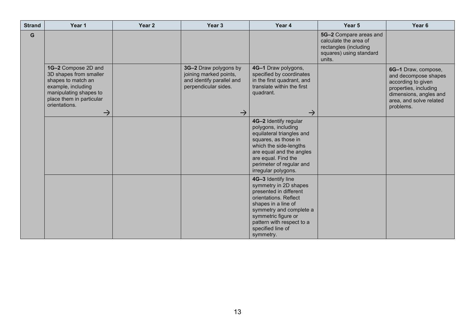| <b>Strand</b> | Year 1                                                                                                                                                                            | Year 2 | Year <sub>3</sub>                                                                                                     | Year 4                                                                                                                                                                                                                                 | Year 5                                                                                                        | Year 6                                                                                                                                                       |
|---------------|-----------------------------------------------------------------------------------------------------------------------------------------------------------------------------------|--------|-----------------------------------------------------------------------------------------------------------------------|----------------------------------------------------------------------------------------------------------------------------------------------------------------------------------------------------------------------------------------|---------------------------------------------------------------------------------------------------------------|--------------------------------------------------------------------------------------------------------------------------------------------------------------|
| G             |                                                                                                                                                                                   |        |                                                                                                                       |                                                                                                                                                                                                                                        | 5G-2 Compare areas and<br>calculate the area of<br>rectangles (including<br>squares) using standard<br>units. |                                                                                                                                                              |
|               | 1G-2 Compose 2D and<br>3D shapes from smaller<br>shapes to match an<br>example, including<br>manipulating shapes to<br>place them in particular<br>orientations.<br>$\rightarrow$ |        | 3G-2 Draw polygons by<br>joining marked points,<br>and identify parallel and<br>perpendicular sides.<br>$\rightarrow$ | 4G-1 Draw polygons,<br>specified by coordinates<br>in the first quadrant, and<br>translate within the first<br>quadrant.<br>$\rightarrow$                                                                                              |                                                                                                               | 6G-1 Draw, compose,<br>and decompose shapes<br>according to given<br>properties, including<br>dimensions, angles and<br>area, and solve related<br>problems. |
|               |                                                                                                                                                                                   |        |                                                                                                                       | 4G-2 Identify regular<br>polygons, including<br>equilateral triangles and<br>squares, as those in<br>which the side-lengths<br>are equal and the angles<br>are equal. Find the<br>perimeter of regular and<br>irregular polygons.      |                                                                                                               |                                                                                                                                                              |
|               |                                                                                                                                                                                   |        |                                                                                                                       | 4G-3 Identify line<br>symmetry in 2D shapes<br>presented in different<br>orientations. Reflect<br>shapes in a line of<br>symmetry and complete a<br>symmetric figure or<br>pattern with respect to a<br>specified line of<br>symmetry. |                                                                                                               |                                                                                                                                                              |